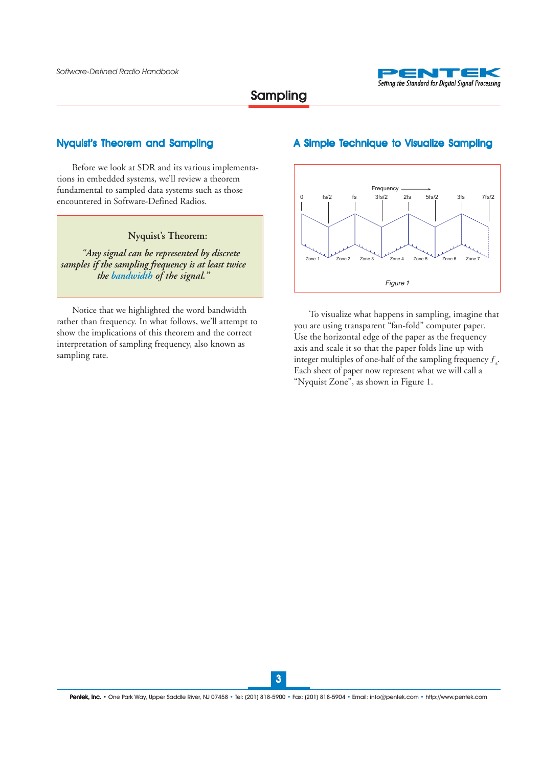

#### Nyquist's Theorem and Sampling

Before we look at SDR and its various implementations in embedded systems, we'll review a theorem fundamental to sampled data systems such as those encountered in Software-Defined Radios.

### **Nyquist's Theorem:**

*"Any signal can be represented by discrete samples if the sampling frequency is at least twice the bandwidth of the signal."*

Notice that we highlighted the word bandwidth rather than frequency. In what follows, we'll attempt to show the implications of this theorem and the correct interpretation of sampling frequency, also known as sampling rate.

#### A Simple Technique to Visualize Sampling



To visualize what happens in sampling, imagine that you are using transparent "fan-fold" computer paper. Use the horizontal edge of the paper as the frequency axis and scale it so that the paper folds line up with integer multiples of one-half of the sampling frequency  $f_s$ . Each sheet of paper now represent what we will call a "Nyquist Zone", as shown in Figure 1.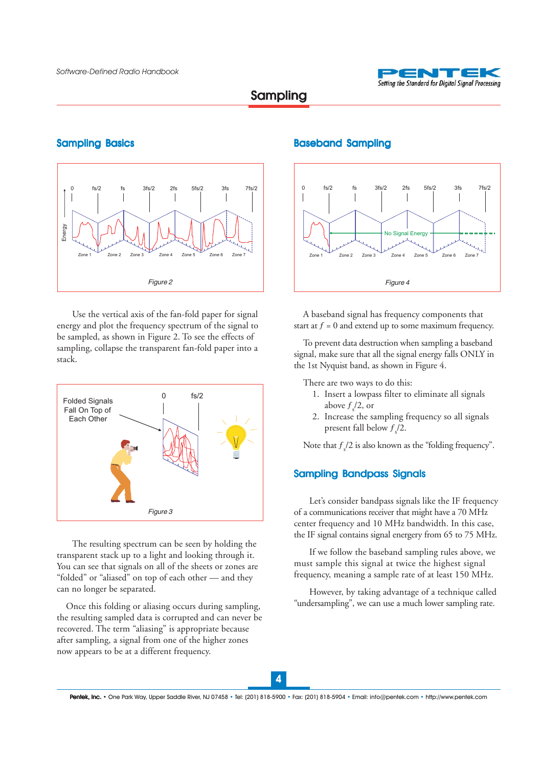

# Sampling

#### Sampling Basics



Use the vertical axis of the fan-fold paper for signal energy and plot the frequency spectrum of the signal to be sampled, as shown in Figure 2. To see the effects of sampling, collapse the transparent fan-fold paper into a stack.



The resulting spectrum can be seen by holding the transparent stack up to a light and looking through it. You can see that signals on all of the sheets or zones are "folded" or "aliased" on top of each other — and they can no longer be separated.

Once this folding or aliasing occurs during sampling, the resulting sampled data is corrupted and can never be recovered. The term "aliasing" is appropriate because after sampling, a signal from one of the higher zones now appears to be at a different frequency.

#### Baseband Sampling



A baseband signal has frequency components that start at  $f = 0$  and extend up to some maximum frequency.

To prevent data destruction when sampling a baseband signal, make sure that all the signal energy falls ONLY in the 1st Nyquist band, as shown in Figure 4.

There are two ways to do this:

- 1. Insert a lowpass filter to eliminate all signals above  $f_s/2$ , or
- 2. Increase the sampling frequency so all signals present fall below  $f_s/2$ .

Note that  $f_s/2$  is also known as the "folding frequency".

### Sampling Bandpass Signals

Let's consider bandpass signals like the IF frequency of a communications receiver that might have a 70 MHz center frequency and 10 MHz bandwidth. In this case, the IF signal contains signal energery from 65 to 75 MHz.

If we follow the baseband sampling rules above, we must sample this signal at twice the highest signal frequency, meaning a sample rate of at least 150 MHz.

However, by taking advantage of a technique called "undersampling", we can use a much lower sampling rate.

4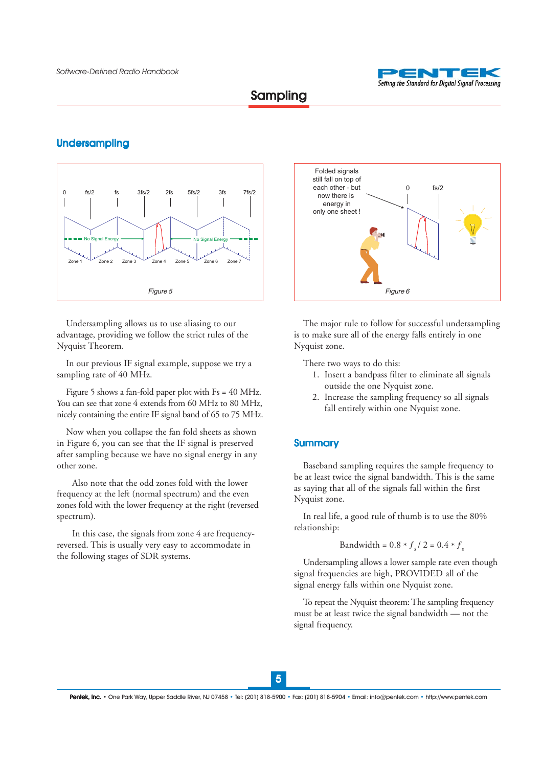

Sampling

### Undersampling



Undersampling allows us to use aliasing to our advantage, providing we follow the strict rules of the Nyquist Theorem.

In our previous IF signal example, suppose we try a sampling rate of 40 MHz.

Figure 5 shows a fan-fold paper plot with Fs = 40 MHz. You can see that zone 4 extends from 60 MHz to 80 MHz, nicely containing the entire IF signal band of 65 to 75 MHz.

Now when you collapse the fan fold sheets as shown in Figure 6, you can see that the IF signal is preserved after sampling because we have no signal energy in any other zone.

Also note that the odd zones fold with the lower frequency at the left (normal spectrum) and the even zones fold with the lower frequency at the right (reversed spectrum).

In this case, the signals from zone 4 are frequencyreversed. This is usually very easy to accommodate in the following stages of SDR systems.



The major rule to follow for successful undersampling is to make sure all of the energy falls entirely in one Nyquist zone.

There two ways to do this:

- 1. Insert a bandpass filter to eliminate all signals outside the one Nyquist zone.
- 2. Increase the sampling frequency so all signals fall entirely within one Nyquist zone.

### **Summary**

Baseband sampling requires the sample frequency to be at least twice the signal bandwidth. This is the same as saying that all of the signals fall within the first Nyquist zone.

In real life, a good rule of thumb is to use the 80% relationship:

Bandwidth = 
$$
0.8 * f_s / 2 = 0.4 * f_s
$$

Undersampling allows a lower sample rate even though signal frequencies are high, PROVIDED all of the signal energy falls within one Nyquist zone.

To repeat the Nyquist theorem: The sampling frequency must be at least twice the signal bandwidth — not the signal frequency.

5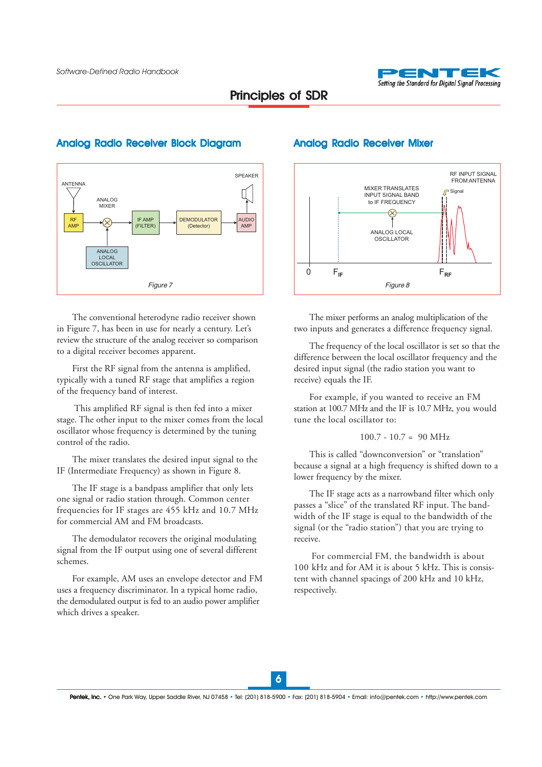

RF INPUT SIGNAL

## Principles of SDR



#### Analog Radio Receiver Block Diagram **Analog Radio Receiver Mixer**



The mixer performs an analog multiplication of the two inputs and generates a difference frequency signal.

The frequency of the local oscillator is set so that the difference between the local oscillator frequency and the desired input signal (the radio station you want to receive) equals the IF.

For example, if you wanted to receive an FM station at 100.7 MHz and the IF is 10.7 MHz, you would tune the local oscillator to:

#### $100.7 - 10.7 = 90$  MHz

This is called "downconversion" or "translation" because a signal at a high frequency is shifted down to a lower frequency by the mixer.

The IF stage acts as a narrowband filter which only passes a "slice" of the translated RF input. The bandwidth of the IF stage is equal to the bandwidth of the signal (or the "radio station") that you are trying to receive.

 For commercial FM, the bandwidth is about 100 kHz and for AM it is about 5 kHz. This is consistent with channel spacings of 200 kHz and 10 kHz, respectively.

The conventional heterodyne radio receiver shown in Figure 7, has been in use for nearly a century. Let's review the structure of the analog receiver so comparison to a digital receiver becomes apparent.

First the RF signal from the antenna is amplified, typically with a tuned RF stage that amplifies a region of the frequency band of interest.

 This amplified RF signal is then fed into a mixer stage. The other input to the mixer comes from the local oscillator whose frequency is determined by the tuning control of the radio.

The mixer translates the desired input signal to the IF (Intermediate Frequency) as shown in Figure 8.

The IF stage is a bandpass amplifier that only lets one signal or radio station through. Common center frequencies for IF stages are 455 kHz and 10.7 MHz for commercial AM and FM broadcasts.

The demodulator recovers the original modulating signal from the IF output using one of several different schemes.

For example, AM uses an envelope detector and FM uses a frequency discriminator. In a typical home radio, the demodulated output is fed to an audio power amplifier which drives a speaker.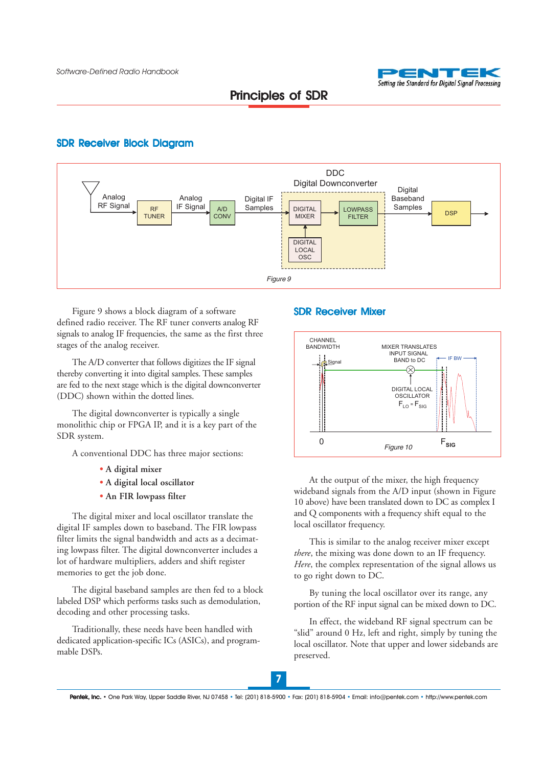

#### SDR Receiver Block Diagram



Figure 9 shows a block diagram of a software **SDR Receiver Mixer** defined radio receiver. The RF tuner converts analog RF signals to analog IF frequencies, the same as the first three stages of the analog receiver.

The A/D converter that follows digitizes the IF signal thereby converting it into digital samples. These samples are fed to the next stage which is the digital downconverter (DDC) shown within the dotted lines.

The digital downconverter is typically a single monolithic chip or FPGA IP, and it is a key part of the SDR system.

A conventional DDC has three major sections:

- **• A digital mixer**
- **• A digital local oscillator**
- **• An FIR lowpass filter**

The digital mixer and local oscillator translate the digital IF samples down to baseband. The FIR lowpass filter limits the signal bandwidth and acts as a decimating lowpass filter. The digital downconverter includes a lot of hardware multipliers, adders and shift register memories to get the job done.

The digital baseband samples are then fed to a block labeled DSP which performs tasks such as demodulation, decoding and other processing tasks.

Traditionally, these needs have been handled with dedicated application-specific ICs (ASICs), and programmable DSPs.



At the output of the mixer, the high frequency wideband signals from the A/D input (shown in Figure 10 above) have been translated down to DC as complex I and Q components with a frequency shift equal to the local oscillator frequency.

This is similar to the analog receiver mixer except *there*, the mixing was done down to an IF frequency. *Here*, the complex representation of the signal allows us to go right down to DC.

By tuning the local oscillator over its range, any portion of the RF input signal can be mixed down to DC.

In effect, the wideband RF signal spectrum can be "slid" around 0 Hz, left and right, simply by tuning the local oscillator. Note that upper and lower sidebands are preserved.

Pentek, Inc. • One Park Way, Upper Saddle River, NJ 07458 • Tel: (201) 818-5900 • Fax: (201) 818-5904 • Email: info@pentek.com • http://www.pentek.com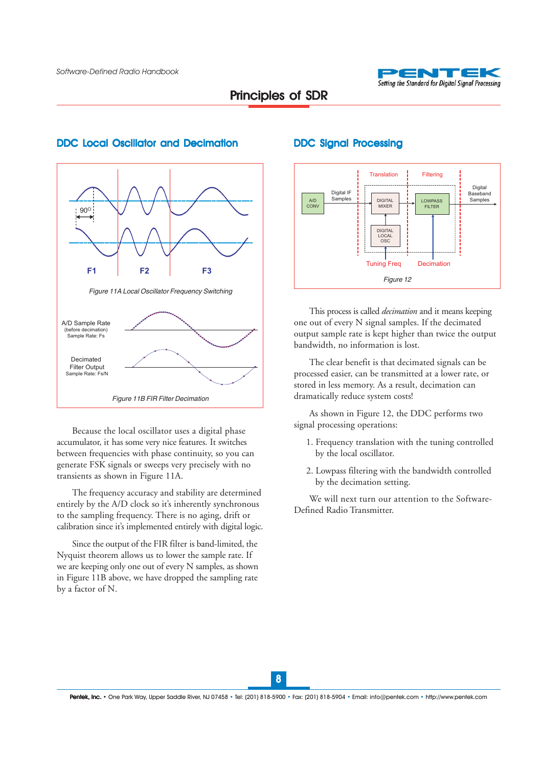



#### DDC Local Oscillator and Decimation



DDC Signal Processing

This process is called *decimation* and it means keeping one out of every N signal samples. If the decimated output sample rate is kept higher than twice the output bandwidth, no information is lost.

The clear benefit is that decimated signals can be processed easier, can be transmitted at a lower rate, or stored in less memory. As a result, decimation can dramatically reduce system costs!

As shown in Figure 12, the DDC performs two signal processing operations:

- 1. Frequency translation with the tuning controlled by the local oscillator.
- 2. Lowpass filtering with the bandwidth controlled by the decimation setting.

We will next turn our attention to the Software-Defined Radio Transmitter.

Because the local oscillator uses a digital phase accumulator, it has some very nice features. It switches between frequencies with phase continuity, so you can generate FSK signals or sweeps very precisely with no transients as shown in Figure 11A.

The frequency accuracy and stability are determined entirely by the A/D clock so it's inherently synchronous to the sampling frequency. There is no aging, drift or calibration since it's implemented entirely with digital logic.

Since the output of the FIR filter is band-limited, the Nyquist theorem allows us to lower the sample rate. If we are keeping only one out of every N samples, as shown in Figure 11B above, we have dropped the sampling rate by a factor of N.

8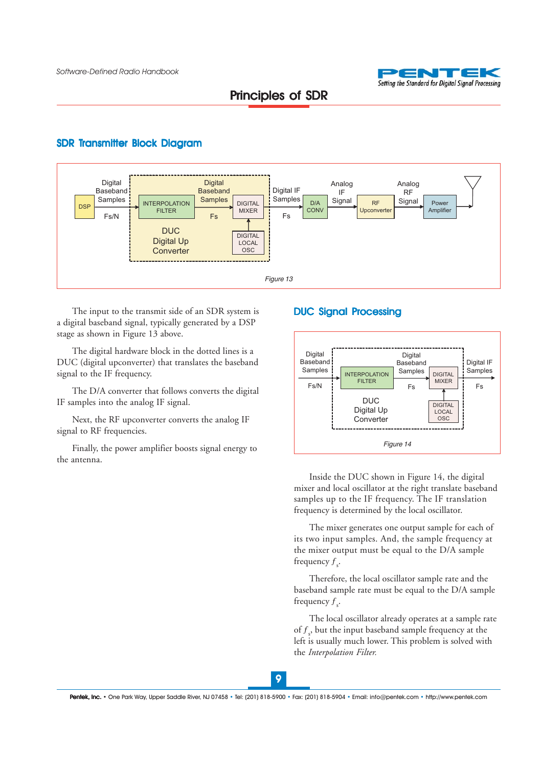

#### SDR Transmitter Block Diagram



The input to the transmit side of an SDR system is a digital baseband signal, typically generated by a DSP stage as shown in Figure 13 above.

The digital hardware block in the dotted lines is a DUC (digital upconverter) that translates the baseband signal to the IF frequency.

The D/A converter that follows converts the digital IF samples into the analog IF signal.

Next, the RF upconverter converts the analog IF signal to RF frequencies.

Finally, the power amplifier boosts signal energy to the antenna.

### DUC Signal Processing



Inside the DUC shown in Figure 14, the digital mixer and local oscillator at the right translate baseband samples up to the IF frequency. The IF translation frequency is determined by the local oscillator.

The mixer generates one output sample for each of its two input samples. And, the sample frequency at the mixer output must be equal to the D/A sample frequency  $f_s$ .

Therefore, the local oscillator sample rate and the baseband sample rate must be equal to the D/A sample frequency  $f_s$ .

The local oscillator already operates at a sample rate of  $f_s$ , but the input baseband sample frequency at the left is usually much lower. This problem is solved with the *Interpolation Filter.*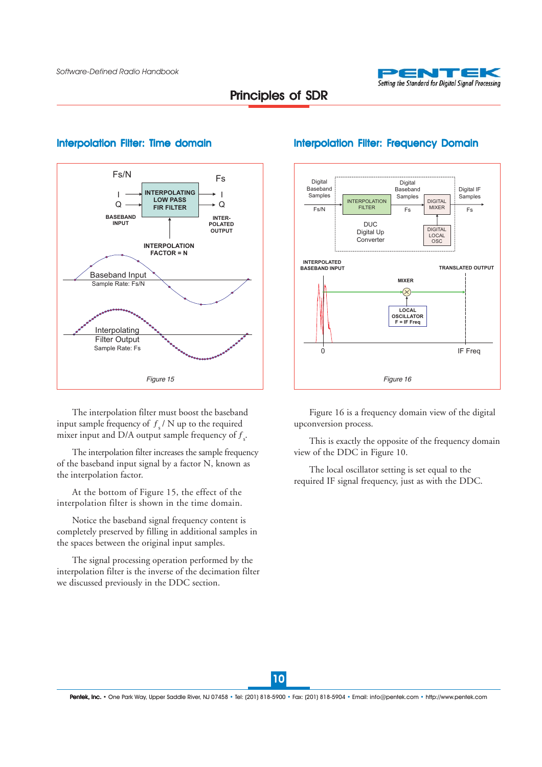



#### Interpolation Filter: Time domain

The interpolation filter must boost the baseband input sample frequency of  $f_{s}$  / N up to the required mixer input and D/A output sample frequency of  $f<sub>s</sub>$ .

The interpolation filter increases the sample frequency of the baseband input signal by a factor N, known as the interpolation factor.

At the bottom of Figure 15, the effect of the interpolation filter is shown in the time domain.

Notice the baseband signal frequency content is completely preserved by filling in additional samples in the spaces between the original input samples.

The signal processing operation performed by the interpolation filter is the inverse of the decimation filter we discussed previously in the DDC section.



#### Interpolation Filter: Frequency Domain

Figure 16 is a frequency domain view of the digital upconversion process.

This is exactly the opposite of the frequency domain view of the DDC in Figure 10.

The local oscillator setting is set equal to the required IF signal frequency, just as with the DDC.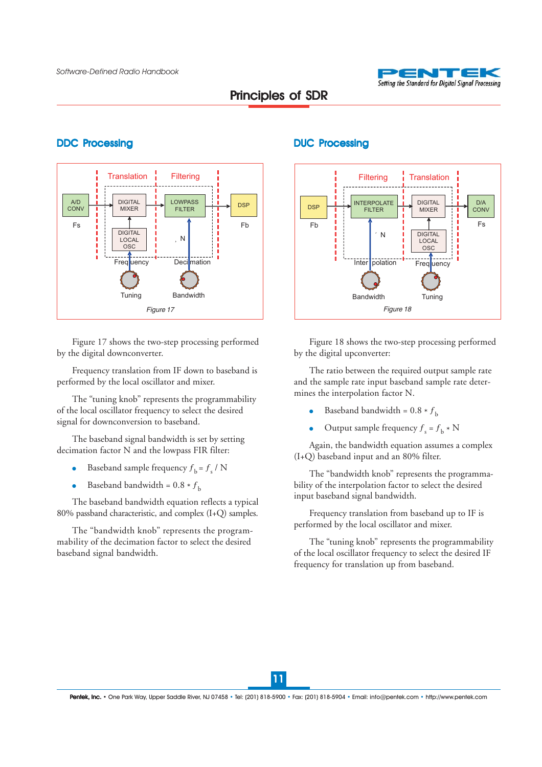

### **DDC Processing CONTEXT CONTEXT DUC Processing**



Figure 17 shows the two-step processing performed by the digital downconverter.

Frequency translation from IF down to baseband is performed by the local oscillator and mixer.

The "tuning knob" represents the programmability of the local oscillator frequency to select the desired signal for downconversion to baseband.

The baseband signal bandwidth is set by setting decimation factor N and the lowpass FIR filter:

- Baseband sample frequency  $f_b = f_s / N$
- Baseband bandwidth =  $0.8 * f<sub>b</sub>$

The baseband bandwidth equation reflects a typical 80% passband characteristic, and complex (I+Q) samples.

The "bandwidth knob" represents the programmability of the decimation factor to select the desired baseband signal bandwidth.



Figure 18 shows the two-step processing performed by the digital upconverter:

The ratio between the required output sample rate and the sample rate input baseband sample rate determines the interpolation factor N.

- Baseband bandwidth =  $0.8 * f_b$
- Output sample frequency  $f_s = f_b * N$

Again, the bandwidth equation assumes a complex (I+Q) baseband input and an 80% filter.

The "bandwidth knob" represents the programmability of the interpolation factor to select the desired input baseband signal bandwidth.

Frequency translation from baseband up to IF is performed by the local oscillator and mixer.

The "tuning knob" represents the programmability of the local oscillator frequency to select the desired IF frequency for translation up from baseband.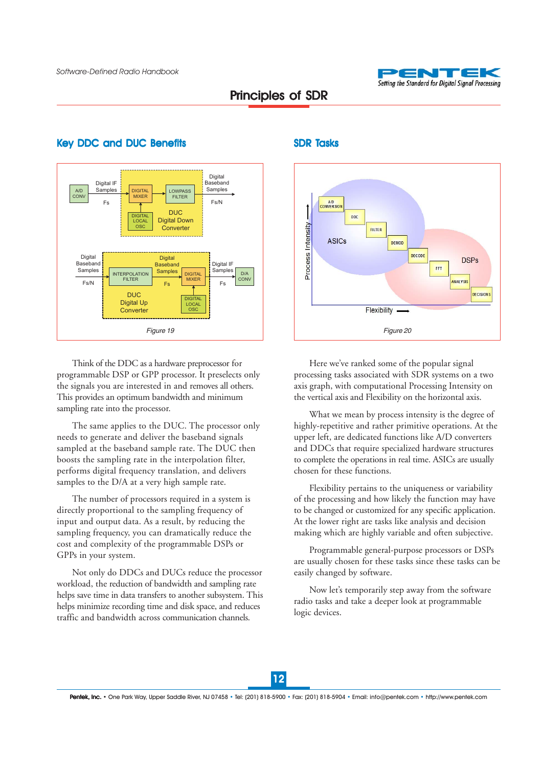



#### Key DDC and DUC Benefits SDR Tasks

Think of the DDC as a hardware preprocessor for programmable DSP or GPP processor. It preselects only the signals you are interested in and removes all others. This provides an optimum bandwidth and minimum sampling rate into the processor.

The same applies to the DUC. The processor only needs to generate and deliver the baseband signals sampled at the baseband sample rate. The DUC then boosts the sampling rate in the interpolation filter, performs digital frequency translation, and delivers samples to the D/A at a very high sample rate.

The number of processors required in a system is directly proportional to the sampling frequency of input and output data. As a result, by reducing the sampling frequency, you can dramatically reduce the cost and complexity of the programmable DSPs or GPPs in your system.

Not only do DDCs and DUCs reduce the processor workload, the reduction of bandwidth and sampling rate helps save time in data transfers to another subsystem. This helps minimize recording time and disk space, and reduces traffic and bandwidth across communication channels.



Here we've ranked some of the popular signal processing tasks associated with SDR systems on a two axis graph, with computational Processing Intensity on the vertical axis and Flexibility on the horizontal axis.

What we mean by process intensity is the degree of highly-repetitive and rather primitive operations. At the upper left, are dedicated functions like A/D converters and DDCs that require specialized hardware structures to complete the operations in real time. ASICs are usually chosen for these functions.

Flexibility pertains to the uniqueness or variability of the processing and how likely the function may have to be changed or customized for any specific application. At the lower right are tasks like analysis and decision making which are highly variable and often subjective.

Programmable general-purpose processors or DSPs are usually chosen for these tasks since these tasks can be easily changed by software.

Now let's temporarily step away from the software radio tasks and take a deeper look at programmable logic devices.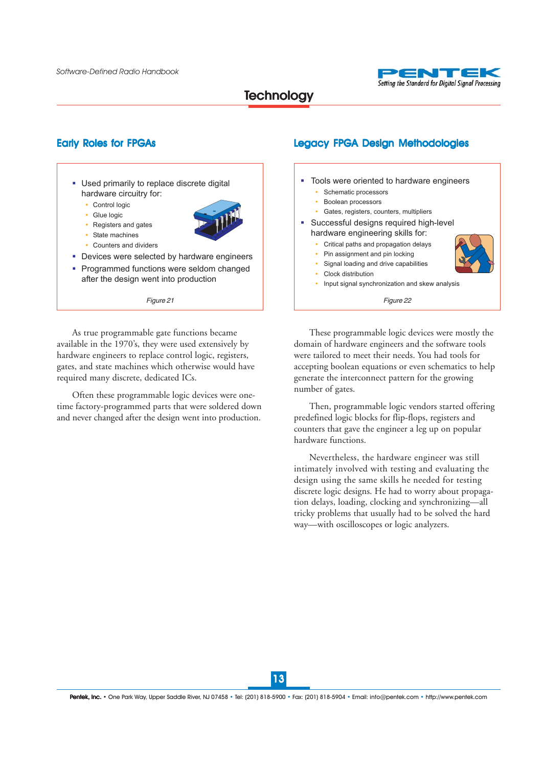

# **Technology**

- **.** Used primarily to replace discrete digital hardware circuitry for:
	- Control logic
	- " Glue logic
	- Registers and gates
	- State machines
	- Counters and dividers
- **.** Devices were selected by hardware engineers
- **.** Programmed functions were seldom changed after the design went into production

As true programmable gate functions became available in the 1970's, they were used extensively by hardware engineers to replace control logic, registers, gates, and state machines which otherwise would have required many discrete, dedicated ICs.

Often these programmable logic devices were onetime factory-programmed parts that were soldered down and never changed after the design went into production.

### Early Roles for FPGAs Legacy FPGA Design Methodologies



These programmable logic devices were mostly the domain of hardware engineers and the software tools were tailored to meet their needs. You had tools for accepting boolean equations or even schematics to help generate the interconnect pattern for the growing number of gates.

Then, programmable logic vendors started offering predefined logic blocks for flip-flops, registers and counters that gave the engineer a leg up on popular hardware functions.

Nevertheless, the hardware engineer was still intimately involved with testing and evaluating the design using the same skills he needed for testing discrete logic designs. He had to worry about propagation delays, loading, clocking and synchronizing—all tricky problems that usually had to be solved the hard way—with oscilloscopes or logic analyzers.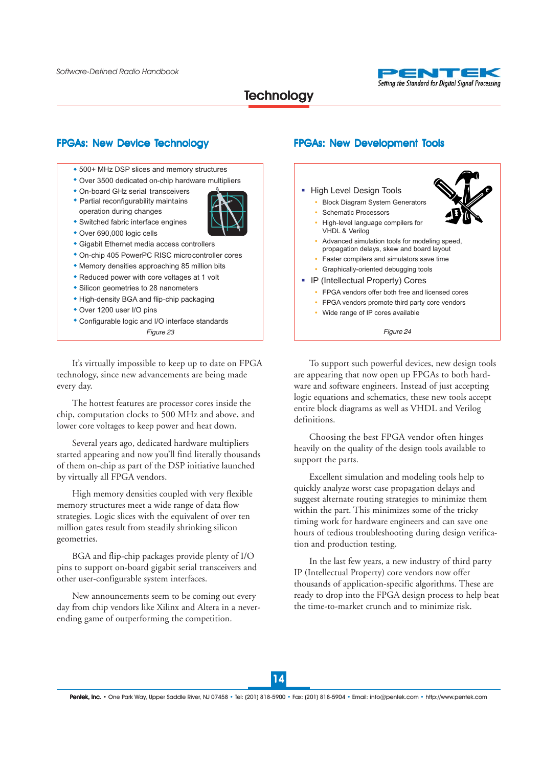

## **Technology**

#### FPGAs: New Device Technology **FRGAS: New Development Tools**

- ◆ 500+ MHz DSP slices and memory structures
- Over 3500 dedicated on-chip hardware multipliers !
- On-board GHz serial transceivers !
- Partial reconfigurability maintains ! operation during changes Switched fabric interface engines !



- Over 690,000 logic cells !
- Gigabit Ethernet media access controllers !
- On-chip 405 PowerPC RISC microcontroller cores !
- Memory densities approaching 85 million bits !
- Reduced power with core voltages at 1 volt !
- Silicon geometries to 28 nanometers !
- High-density BGA and flip-chip packaging
- Over 1200 user I/O pins !
- Configurable logic and I/O interface standards !
	-

It's virtually impossible to keep up to date on FPGA technology, since new advancements are being made every day.

The hottest features are processor cores inside the chip, computation clocks to 500 MHz and above, and lower core voltages to keep power and heat down.

Several years ago, dedicated hardware multipliers started appearing and now you'll find literally thousands of them on-chip as part of the DSP initiative launched by virtually all FPGA vendors.

High memory densities coupled with very flexible memory structures meet a wide range of data flow strategies. Logic slices with the equivalent of over ten million gates result from steadily shrinking silicon geometries.

BGA and flip-chip packages provide plenty of I/O pins to support on-board gigabit serial transceivers and other user-configurable system interfaces.

New announcements seem to be coming out every day from chip vendors like Xilinx and Altera in a neverending game of outperforming the competition.



*Figure 23 Figure 24*

To support such powerful devices, new design tools are appearing that now open up FPGAs to both hardware and software engineers. Instead of just accepting logic equations and schematics, these new tools accept entire block diagrams as well as VHDL and Verilog definitions.

Choosing the best FPGA vendor often hinges heavily on the quality of the design tools available to support the parts.

Excellent simulation and modeling tools help to quickly analyze worst case propagation delays and suggest alternate routing strategies to minimize them within the part. This minimizes some of the tricky timing work for hardware engineers and can save one hours of tedious troubleshooting during design verification and production testing.

In the last few years, a new industry of third party IP (Intellectual Property) core vendors now offer thousands of application-specific algorithms. These are ready to drop into the FPGA design process to help beat the time-to-market crunch and to minimize risk.